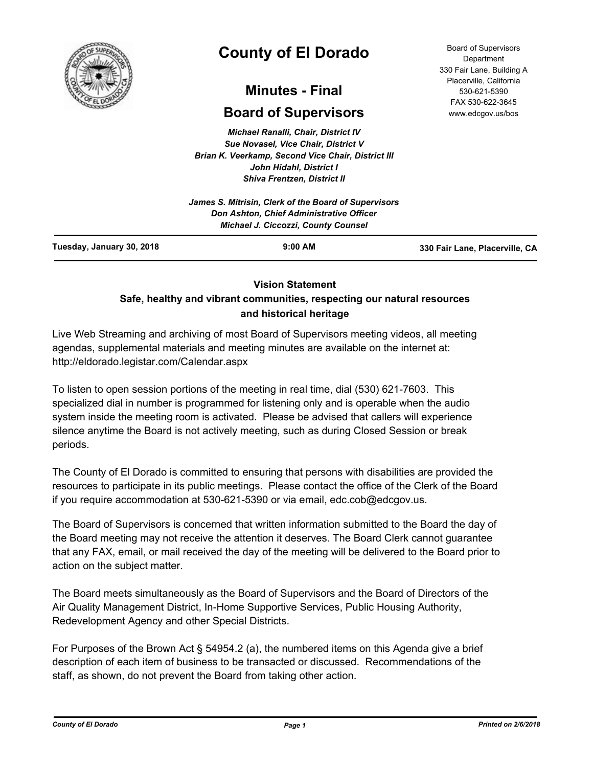

# **County of El Dorado**

# **Minutes - Final**

# **Board of Supervisors**

*Michael Ranalli, Chair, District IV Sue Novasel, Vice Chair, District V Brian K. Veerkamp, Second Vice Chair, District III John Hidahl, District I Shiva Frentzen, District II*

| Tuesday, January 30, 2018 | $9:00$ AM                                                                              | 330 Fair Lane, Placerville, CA |
|---------------------------|----------------------------------------------------------------------------------------|--------------------------------|
|                           | Don Ashton, Chief Administrative Officer<br><b>Michael J. Ciccozzi, County Counsel</b> |                                |
|                           | James S. Mitrisin, Clerk of the Board of Supervisors                                   |                                |

# **Vision Statement**

# **Safe, healthy and vibrant communities, respecting our natural resources and historical heritage**

Live Web Streaming and archiving of most Board of Supervisors meeting videos, all meeting agendas, supplemental materials and meeting minutes are available on the internet at: http://eldorado.legistar.com/Calendar.aspx

To listen to open session portions of the meeting in real time, dial (530) 621-7603. This specialized dial in number is programmed for listening only and is operable when the audio system inside the meeting room is activated. Please be advised that callers will experience silence anytime the Board is not actively meeting, such as during Closed Session or break periods.

The County of El Dorado is committed to ensuring that persons with disabilities are provided the resources to participate in its public meetings. Please contact the office of the Clerk of the Board if you require accommodation at 530-621-5390 or via email, edc.cob@edcgov.us.

The Board of Supervisors is concerned that written information submitted to the Board the day of the Board meeting may not receive the attention it deserves. The Board Clerk cannot guarantee that any FAX, email, or mail received the day of the meeting will be delivered to the Board prior to action on the subject matter.

The Board meets simultaneously as the Board of Supervisors and the Board of Directors of the Air Quality Management District, In-Home Supportive Services, Public Housing Authority, Redevelopment Agency and other Special Districts.

For Purposes of the Brown Act § 54954.2 (a), the numbered items on this Agenda give a brief description of each item of business to be transacted or discussed. Recommendations of the staff, as shown, do not prevent the Board from taking other action.

Board of Supervisors Department 330 Fair Lane, Building A Placerville, California 530-621-5390 FAX 530-622-3645 www.edcgov.us/bos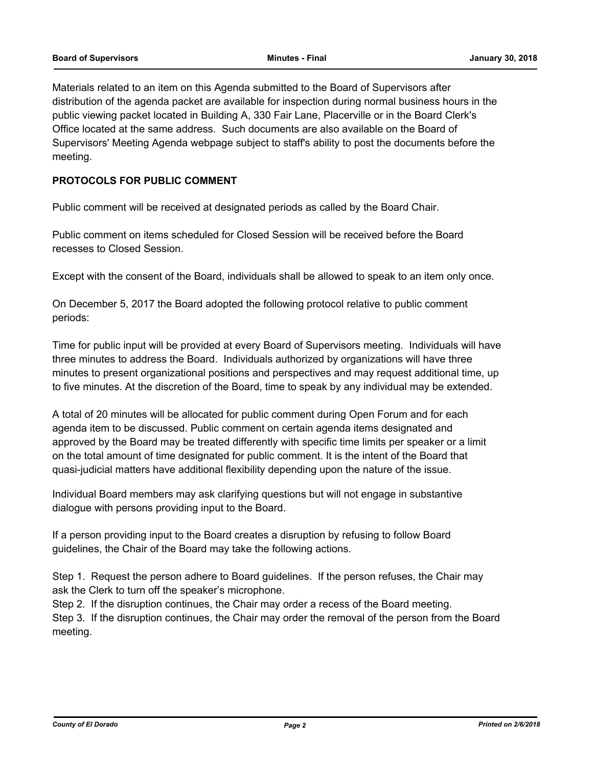Materials related to an item on this Agenda submitted to the Board of Supervisors after distribution of the agenda packet are available for inspection during normal business hours in the public viewing packet located in Building A, 330 Fair Lane, Placerville or in the Board Clerk's Office located at the same address. Such documents are also available on the Board of Supervisors' Meeting Agenda webpage subject to staff's ability to post the documents before the meeting.

# **PROTOCOLS FOR PUBLIC COMMENT**

Public comment will be received at designated periods as called by the Board Chair.

Public comment on items scheduled for Closed Session will be received before the Board recesses to Closed Session.

Except with the consent of the Board, individuals shall be allowed to speak to an item only once.

On December 5, 2017 the Board adopted the following protocol relative to public comment periods:

Time for public input will be provided at every Board of Supervisors meeting. Individuals will have three minutes to address the Board. Individuals authorized by organizations will have three minutes to present organizational positions and perspectives and may request additional time, up to five minutes. At the discretion of the Board, time to speak by any individual may be extended.

A total of 20 minutes will be allocated for public comment during Open Forum and for each agenda item to be discussed. Public comment on certain agenda items designated and approved by the Board may be treated differently with specific time limits per speaker or a limit on the total amount of time designated for public comment. It is the intent of the Board that quasi-judicial matters have additional flexibility depending upon the nature of the issue.

Individual Board members may ask clarifying questions but will not engage in substantive dialogue with persons providing input to the Board.

If a person providing input to the Board creates a disruption by refusing to follow Board guidelines, the Chair of the Board may take the following actions.

Step 1. Request the person adhere to Board guidelines. If the person refuses, the Chair may ask the Clerk to turn off the speaker's microphone.

Step 2. If the disruption continues, the Chair may order a recess of the Board meeting.

Step 3. If the disruption continues, the Chair may order the removal of the person from the Board meeting.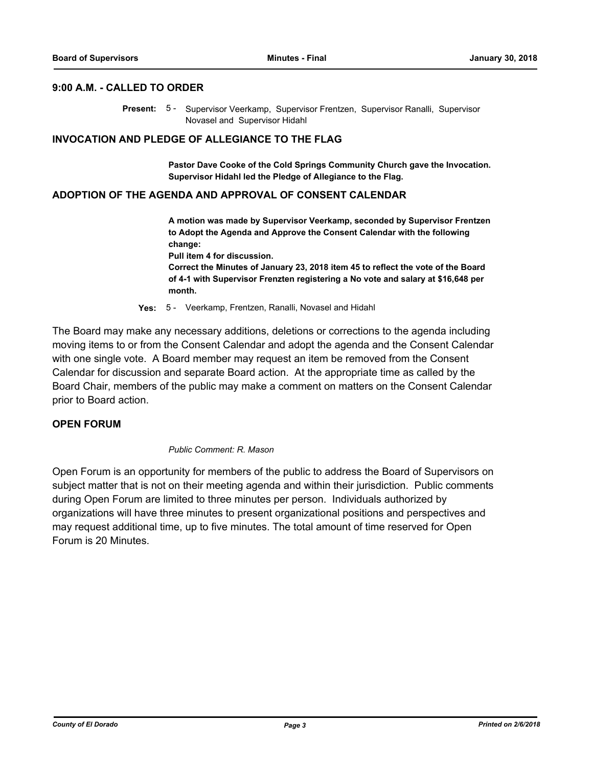# **9:00 A.M. - CALLED TO ORDER**

Present: 5 - Supervisor Veerkamp, Supervisor Frentzen, Supervisor Ranalli, Supervisor Novasel and Supervisor Hidahl

#### **INVOCATION AND PLEDGE OF ALLEGIANCE TO THE FLAG**

**Pastor Dave Cooke of the Cold Springs Community Church gave the Invocation. Supervisor Hidahl led the Pledge of Allegiance to the Flag.**

#### **ADOPTION OF THE AGENDA AND APPROVAL OF CONSENT CALENDAR**

**A motion was made by Supervisor Veerkamp, seconded by Supervisor Frentzen to Adopt the Agenda and Approve the Consent Calendar with the following change: Pull item 4 for discussion.**

**Correct the Minutes of January 23, 2018 item 45 to reflect the vote of the Board of 4-1 with Supervisor Frenzten registering a No vote and salary at \$16,648 per month.**

**Yes:** 5 - Veerkamp, Frentzen, Ranalli, Novasel and Hidahl

The Board may make any necessary additions, deletions or corrections to the agenda including moving items to or from the Consent Calendar and adopt the agenda and the Consent Calendar with one single vote. A Board member may request an item be removed from the Consent Calendar for discussion and separate Board action. At the appropriate time as called by the Board Chair, members of the public may make a comment on matters on the Consent Calendar prior to Board action.

#### **OPEN FORUM**

#### *Public Comment: R. Mason*

Open Forum is an opportunity for members of the public to address the Board of Supervisors on subject matter that is not on their meeting agenda and within their jurisdiction. Public comments during Open Forum are limited to three minutes per person. Individuals authorized by organizations will have three minutes to present organizational positions and perspectives and may request additional time, up to five minutes. The total amount of time reserved for Open Forum is 20 Minutes.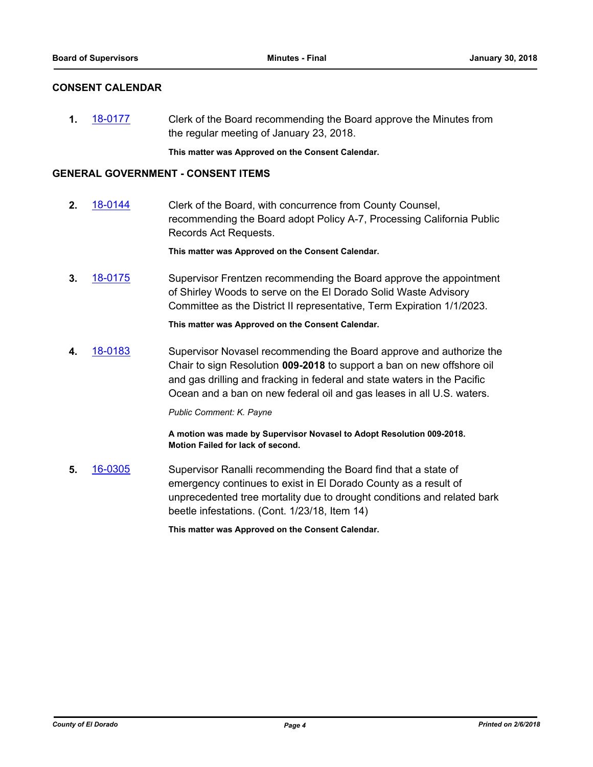## **CONSENT CALENDAR**

**1.** [18-0177](http://eldorado.legistar.com/gateway.aspx?m=l&id=/matter.aspx?key=23519) Clerk of the Board recommending the Board approve the Minutes from the regular meeting of January 23, 2018.

**This matter was Approved on the Consent Calendar.**

#### **GENERAL GOVERNMENT - CONSENT ITEMS**

**2.** [18-0144](http://eldorado.legistar.com/gateway.aspx?m=l&id=/matter.aspx?key=23486) Clerk of the Board, with concurrence from County Counsel, recommending the Board adopt Policy A-7, Processing California Public Records Act Requests.

**This matter was Approved on the Consent Calendar.**

**3.** [18-0175](http://eldorado.legistar.com/gateway.aspx?m=l&id=/matter.aspx?key=23517) Supervisor Frentzen recommending the Board approve the appointment of Shirley Woods to serve on the El Dorado Solid Waste Advisory Committee as the District II representative, Term Expiration 1/1/2023.

**This matter was Approved on the Consent Calendar.**

**4.** [18-0183](http://eldorado.legistar.com/gateway.aspx?m=l&id=/matter.aspx?key=23525) Supervisor Novasel recommending the Board approve and authorize the Chair to sign Resolution **009-2018** to support a ban on new offshore oil and gas drilling and fracking in federal and state waters in the Pacific Ocean and a ban on new federal oil and gas leases in all U.S. waters.

*Public Comment: K. Payne*

**A motion was made by Supervisor Novasel to Adopt Resolution 009-2018. Motion Failed for lack of second.**

**5.** [16-0305](http://eldorado.legistar.com/gateway.aspx?m=l&id=/matter.aspx?key=20961) Supervisor Ranalli recommending the Board find that a state of emergency continues to exist in El Dorado County as a result of unprecedented tree mortality due to drought conditions and related bark beetle infestations. (Cont. 1/23/18, Item 14)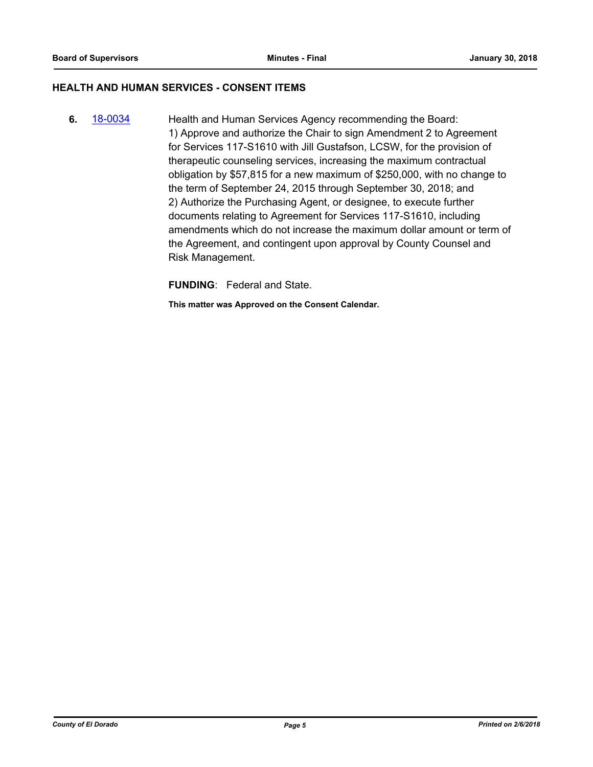### **HEALTH AND HUMAN SERVICES - CONSENT ITEMS**

**6.** [18-0034](http://eldorado.legistar.com/gateway.aspx?m=l&id=/matter.aspx?key=23375) Health and Human Services Agency recommending the Board: 1) Approve and authorize the Chair to sign Amendment 2 to Agreement for Services 117-S1610 with Jill Gustafson, LCSW, for the provision of therapeutic counseling services, increasing the maximum contractual obligation by \$57,815 for a new maximum of \$250,000, with no change to the term of September 24, 2015 through September 30, 2018; and 2) Authorize the Purchasing Agent, or designee, to execute further documents relating to Agreement for Services 117-S1610, including amendments which do not increase the maximum dollar amount or term of the Agreement, and contingent upon approval by County Counsel and Risk Management.

**FUNDING**: Federal and State.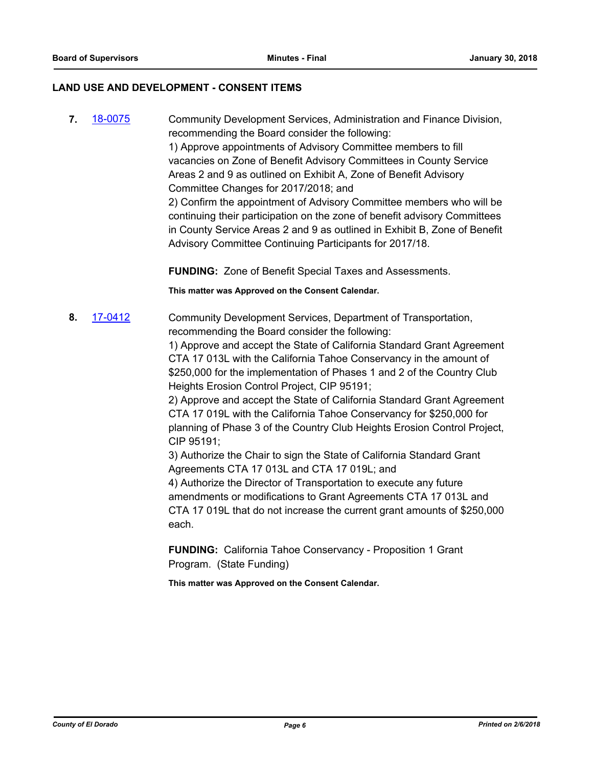## **LAND USE AND DEVELOPMENT - CONSENT ITEMS**

**7.** [18-0075](http://eldorado.legistar.com/gateway.aspx?m=l&id=/matter.aspx?key=23416) Community Development Services, Administration and Finance Division, recommending the Board consider the following: 1) Approve appointments of Advisory Committee members to fill vacancies on Zone of Benefit Advisory Committees in County Service Areas 2 and 9 as outlined on Exhibit A, Zone of Benefit Advisory Committee Changes for 2017/2018; and 2) Confirm the appointment of Advisory Committee members who will be continuing their participation on the zone of benefit advisory Committees in County Service Areas 2 and 9 as outlined in Exhibit B, Zone of Benefit Advisory Committee Continuing Participants for 2017/18.

**FUNDING:** Zone of Benefit Special Taxes and Assessments.

**This matter was Approved on the Consent Calendar.**

**8.** [17-0412](http://eldorado.legistar.com/gateway.aspx?m=l&id=/matter.aspx?key=22351) Community Development Services, Department of Transportation, recommending the Board consider the following:

> 1) Approve and accept the State of California Standard Grant Agreement CTA 17 013L with the California Tahoe Conservancy in the amount of \$250,000 for the implementation of Phases 1 and 2 of the Country Club Heights Erosion Control Project, CIP 95191;

> 2) Approve and accept the State of California Standard Grant Agreement CTA 17 019L with the California Tahoe Conservancy for \$250,000 for planning of Phase 3 of the Country Club Heights Erosion Control Project, CIP 95191;

3) Authorize the Chair to sign the State of California Standard Grant Agreements CTA 17 013L and CTA 17 019L; and

4) Authorize the Director of Transportation to execute any future amendments or modifications to Grant Agreements CTA 17 013L and CTA 17 019L that do not increase the current grant amounts of \$250,000 each.

**FUNDING:** California Tahoe Conservancy - Proposition 1 Grant Program. (State Funding)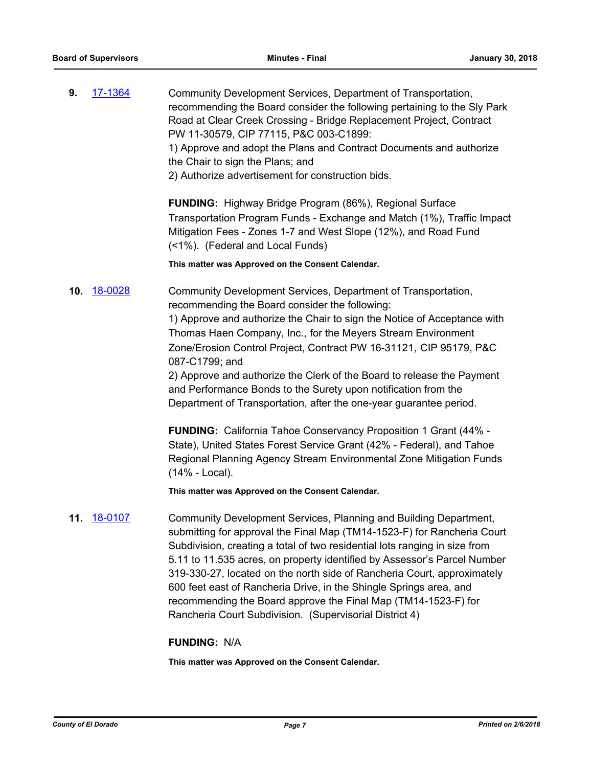**9.** [17-1364](http://eldorado.legistar.com/gateway.aspx?m=l&id=/matter.aspx?key=23310) Community Development Services, Department of Transportation, recommending the Board consider the following pertaining to the Sly Park Road at Clear Creek Crossing - Bridge Replacement Project, Contract PW 11-30579, CIP 77115, P&C 003-C1899: 1) Approve and adopt the Plans and Contract Documents and authorize the Chair to sign the Plans; and 2) Authorize advertisement for construction bids.

> **FUNDING:** Highway Bridge Program (86%), Regional Surface Transportation Program Funds - Exchange and Match (1%), Traffic Impact Mitigation Fees - Zones 1-7 and West Slope (12%), and Road Fund (<1%). (Federal and Local Funds)

**This matter was Approved on the Consent Calendar.**

**10.** [18-0028](http://eldorado.legistar.com/gateway.aspx?m=l&id=/matter.aspx?key=23369) Community Development Services, Department of Transportation, recommending the Board consider the following: 1) Approve and authorize the Chair to sign the Notice of Acceptance with Thomas Haen Company, Inc., for the Meyers Stream Environment Zone/Erosion Control Project, Contract PW 16-31121*,* CIP 95179, P&C 087-C1799; and

> 2) Approve and authorize the Clerk of the Board to release the Payment and Performance Bonds to the Surety upon notification from the Department of Transportation, after the one-year guarantee period.

> **FUNDING:** California Tahoe Conservancy Proposition 1 Grant (44% - State), United States Forest Service Grant (42% - Federal), and Tahoe Regional Planning Agency Stream Environmental Zone Mitigation Funds (14% - Local).

**This matter was Approved on the Consent Calendar.**

**11.** [18-0107](http://eldorado.legistar.com/gateway.aspx?m=l&id=/matter.aspx?key=23449) Community Development Services, Planning and Building Department, submitting for approval the Final Map (TM14-1523-F) for Rancheria Court Subdivision, creating a total of two residential lots ranging in size from 5.11 to 11.535 acres, on property identified by Assessor's Parcel Number 319-330-27, located on the north side of Rancheria Court, approximately 600 feet east of Rancheria Drive, in the Shingle Springs area, and recommending the Board approve the Final Map (TM14-1523-F) for Rancheria Court Subdivision. (Supervisorial District 4)

#### **FUNDING:** N/A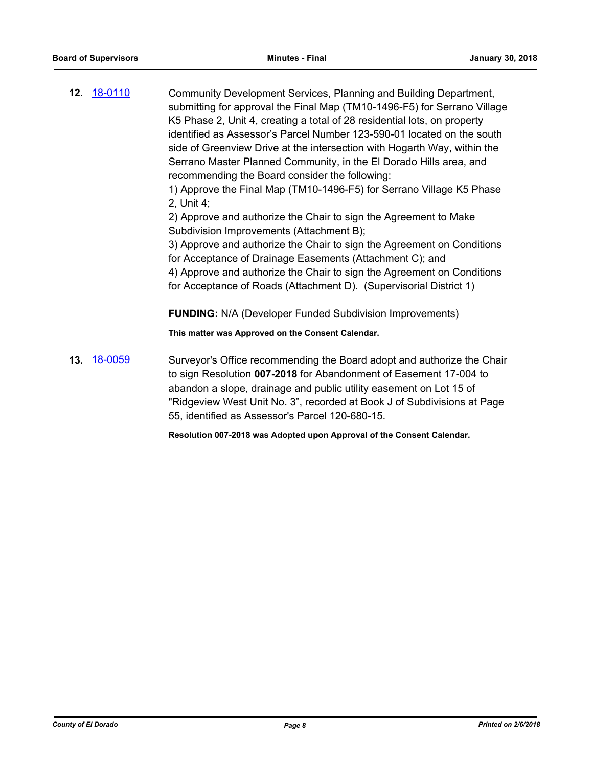**12.** [18-0110](http://eldorado.legistar.com/gateway.aspx?m=l&id=/matter.aspx?key=23452) Community Development Services, Planning and Building Department, submitting for approval the Final Map (TM10-1496-F5) for Serrano Village K5 Phase 2, Unit 4, creating a total of 28 residential lots, on property identified as Assessor's Parcel Number 123-590-01 located on the south side of Greenview Drive at the intersection with Hogarth Way, within the Serrano Master Planned Community, in the El Dorado Hills area, and recommending the Board consider the following: 1) Approve the Final Map (TM10-1496-F5) for Serrano Village K5 Phase 2, Unit 4;

2) Approve and authorize the Chair to sign the Agreement to Make Subdivision Improvements (Attachment B);

3) Approve and authorize the Chair to sign the Agreement on Conditions for Acceptance of Drainage Easements (Attachment C); and 4) Approve and authorize the Chair to sign the Agreement on Conditions for Acceptance of Roads (Attachment D). (Supervisorial District 1)

**FUNDING:** N/A (Developer Funded Subdivision Improvements)

**This matter was Approved on the Consent Calendar.**

**13.** [18-0059](http://eldorado.legistar.com/gateway.aspx?m=l&id=/matter.aspx?key=23400) Surveyor's Office recommending the Board adopt and authorize the Chair to sign Resolution **007-2018** for Abandonment of Easement 17-004 to abandon a slope, drainage and public utility easement on Lot 15 of "Ridgeview West Unit No. 3", recorded at Book J of Subdivisions at Page 55, identified as Assessor's Parcel 120-680-15.

**Resolution 007-2018 was Adopted upon Approval of the Consent Calendar.**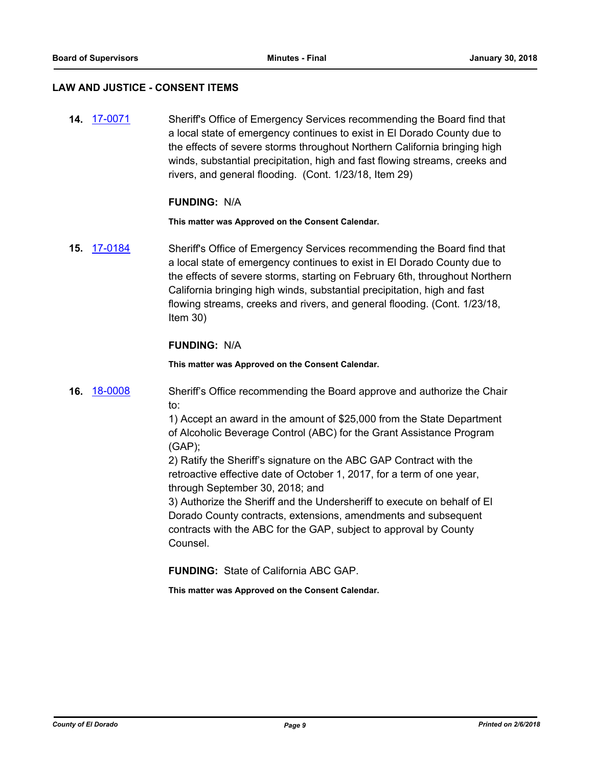#### **LAW AND JUSTICE - CONSENT ITEMS**

**14.** [17-0071](http://eldorado.legistar.com/gateway.aspx?m=l&id=/matter.aspx?key=22008) Sheriff's Office of Emergency Services recommending the Board find that a local state of emergency continues to exist in El Dorado County due to the effects of severe storms throughout Northern California bringing high winds, substantial precipitation, high and fast flowing streams, creeks and rivers, and general flooding. (Cont. 1/23/18, Item 29)

#### **FUNDING:** N/A

**This matter was Approved on the Consent Calendar.**

**15.** [17-0184](http://eldorado.legistar.com/gateway.aspx?m=l&id=/matter.aspx?key=22122) Sheriff's Office of Emergency Services recommending the Board find that a local state of emergency continues to exist in El Dorado County due to the effects of severe storms, starting on February 6th, throughout Northern California bringing high winds, substantial precipitation, high and fast flowing streams, creeks and rivers, and general flooding. (Cont. 1/23/18, Item 30)

## **FUNDING:** N/A

**This matter was Approved on the Consent Calendar.**

**16.** [18-0008](http://eldorado.legistar.com/gateway.aspx?m=l&id=/matter.aspx?key=23349) Sheriff's Office recommending the Board approve and authorize the Chair to:

> 1) Accept an award in the amount of \$25,000 from the State Department of Alcoholic Beverage Control (ABC) for the Grant Assistance Program (GAP);

2) Ratify the Sheriff's signature on the ABC GAP Contract with the retroactive effective date of October 1, 2017, for a term of one year, through September 30, 2018; and

3) Authorize the Sheriff and the Undersheriff to execute on behalf of El Dorado County contracts, extensions, amendments and subsequent contracts with the ABC for the GAP, subject to approval by County Counsel.

**FUNDING:** State of California ABC GAP.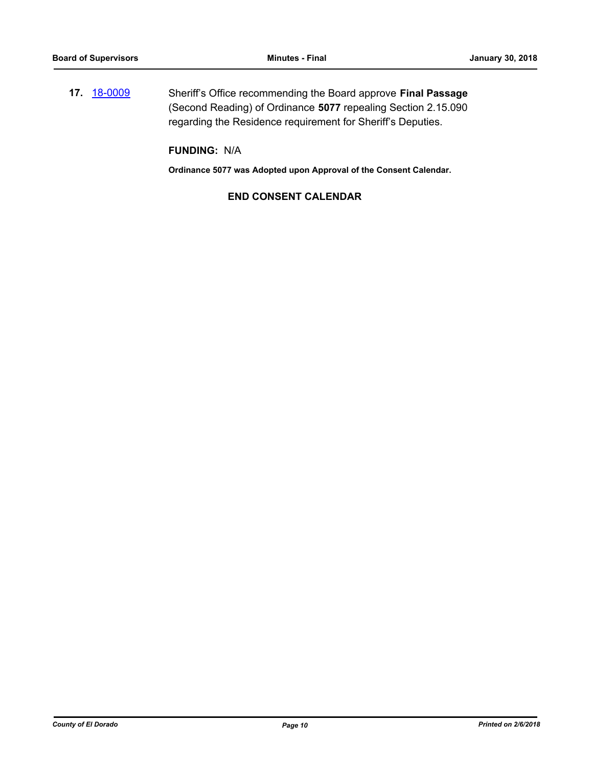**17.** [18-0009](http://eldorado.legistar.com/gateway.aspx?m=l&id=/matter.aspx?key=23350) Sheriff's Office recommending the Board approve **Final Passage** (Second Reading) of Ordinance **5077** repealing Section 2.15.090 regarding the Residence requirement for Sheriff's Deputies.

**FUNDING:** N/A

**Ordinance 5077 was Adopted upon Approval of the Consent Calendar.**

# **END CONSENT CALENDAR**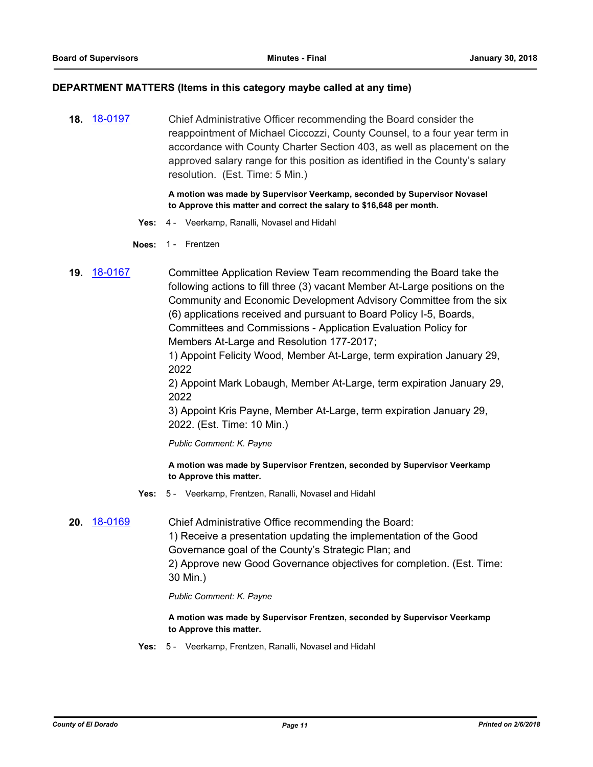#### **DEPARTMENT MATTERS (Items in this category maybe called at any time)**

**18.** [18-0197](http://eldorado.legistar.com/gateway.aspx?m=l&id=/matter.aspx?key=23539) Chief Administrative Officer recommending the Board consider the reappointment of Michael Ciccozzi, County Counsel, to a four year term in accordance with County Charter Section 403, as well as placement on the approved salary range for this position as identified in the County's salary resolution. (Est. Time: 5 Min.)

> **A motion was made by Supervisor Veerkamp, seconded by Supervisor Novasel to Approve this matter and correct the salary to \$16,648 per month.**

- **Yes:** 4 Veerkamp, Ranalli, Novasel and Hidahl
- **Noes:** 1 Frentzen
- **19.** [18-0167](http://eldorado.legistar.com/gateway.aspx?m=l&id=/matter.aspx?key=23509) Committee Application Review Team recommending the Board take the following actions to fill three (3) vacant Member At-Large positions on the Community and Economic Development Advisory Committee from the six (6) applications received and pursuant to Board Policy I-5, Boards, Committees and Commissions - Application Evaluation Policy for Members At-Large and Resolution 177-2017;

1) Appoint Felicity Wood, Member At-Large, term expiration January 29, 2022

2) Appoint Mark Lobaugh, Member At-Large, term expiration January 29, 2022

3) Appoint Kris Payne, Member At-Large, term expiration January 29, 2022. (Est. Time: 10 Min.)

*Public Comment: K. Payne*

**A motion was made by Supervisor Frentzen, seconded by Supervisor Veerkamp to Approve this matter.**

- **Yes:** 5 Veerkamp, Frentzen, Ranalli, Novasel and Hidahl
- **20.** [18-0169](http://eldorado.legistar.com/gateway.aspx?m=l&id=/matter.aspx?key=23511) Chief Administrative Office recommending the Board: 1) Receive a presentation updating the implementation of the Good Governance goal of the County's Strategic Plan; and 2) Approve new Good Governance objectives for completion. (Est. Time: 30 Min.)

*Public Comment: K. Payne*

**A motion was made by Supervisor Frentzen, seconded by Supervisor Veerkamp to Approve this matter.**

**Yes:** 5 - Veerkamp, Frentzen, Ranalli, Novasel and Hidahl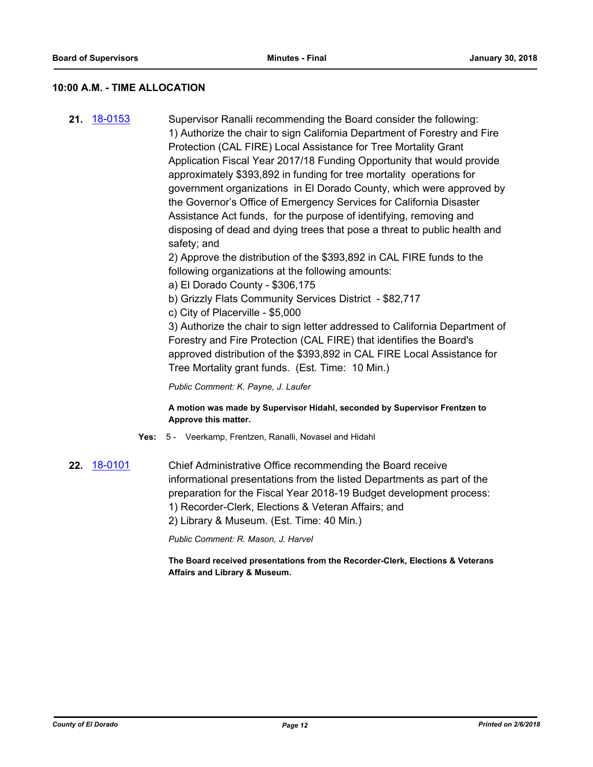## **10:00 A.M. - TIME ALLOCATION**

**21.** [18-0153](http://eldorado.legistar.com/gateway.aspx?m=l&id=/matter.aspx?key=23495) Supervisor Ranalli recommending the Board consider the following: 1) Authorize the chair to sign California Department of Forestry and Fire Protection (CAL FIRE) Local Assistance for Tree Mortality Grant Application Fiscal Year 2017/18 Funding Opportunity that would provide approximately \$393,892 in funding for tree mortality operations for government organizations in El Dorado County, which were approved by the Governor's Office of Emergency Services for California Disaster Assistance Act funds, for the purpose of identifying, removing and disposing of dead and dying trees that pose a threat to public health and safety; and

2) Approve the distribution of the \$393,892 in CAL FIRE funds to the following organizations at the following amounts:

- a) El Dorado County \$306,175
- b) Grizzly Flats Community Services District \$82,717
- c) City of Placerville \$5,000

3) Authorize the chair to sign letter addressed to California Department of Forestry and Fire Protection (CAL FIRE) that identifies the Board's approved distribution of the \$393,892 in CAL FIRE Local Assistance for Tree Mortality grant funds. (Est. Time: 10 Min.)

*Public Comment: K. Payne, J. Laufer*

#### **A motion was made by Supervisor Hidahl, seconded by Supervisor Frentzen to Approve this matter.**

- **Yes:** 5 Veerkamp, Frentzen, Ranalli, Novasel and Hidahl
- **22.** [18-0101](http://eldorado.legistar.com/gateway.aspx?m=l&id=/matter.aspx?key=23443) Chief Administrative Office recommending the Board receive informational presentations from the listed Departments as part of the preparation for the Fiscal Year 2018-19 Budget development process: 1) Recorder-Clerk, Elections & Veteran Affairs; and 2) Library & Museum. (Est. Time: 40 Min.)

*Public Comment: R. Mason, J. Harvel*

**The Board received presentations from the Recorder-Clerk, Elections & Veterans Affairs and Library & Museum.**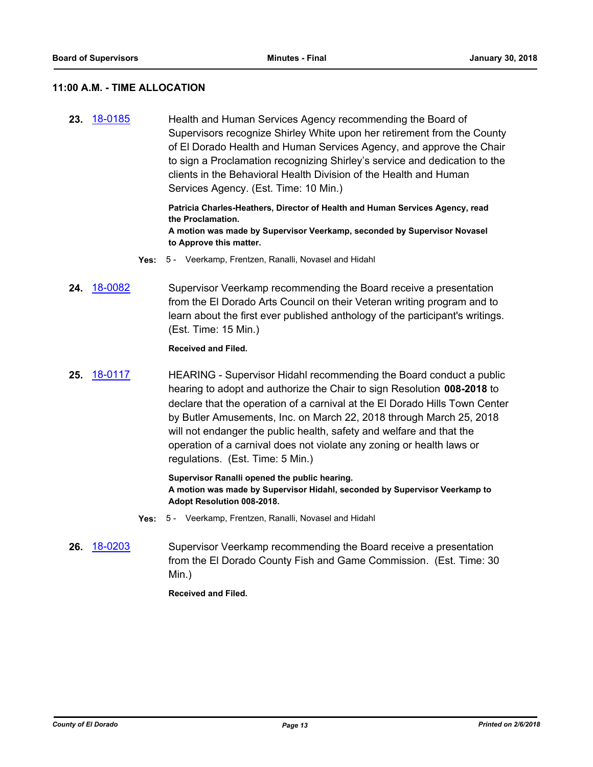# **11:00 A.M. - TIME ALLOCATION**

**23.** [18-0185](http://eldorado.legistar.com/gateway.aspx?m=l&id=/matter.aspx?key=23527) Health and Human Services Agency recommending the Board of Supervisors recognize Shirley White upon her retirement from the County of El Dorado Health and Human Services Agency, and approve the Chair to sign a Proclamation recognizing Shirley's service and dedication to the clients in the Behavioral Health Division of the Health and Human Services Agency. (Est. Time: 10 Min.)

> **Patricia Charles-Heathers, Director of Health and Human Services Agency, read the Proclamation. A motion was made by Supervisor Veerkamp, seconded by Supervisor Novasel to Approve this matter.**

- **Yes:** 5 Veerkamp, Frentzen, Ranalli, Novasel and Hidahl
- **24.** [18-0082](http://eldorado.legistar.com/gateway.aspx?m=l&id=/matter.aspx?key=23423) Supervisor Veerkamp recommending the Board receive a presentation from the El Dorado Arts Council on their Veteran writing program and to learn about the first ever published anthology of the participant's writings. (Est. Time: 15 Min.)

#### **Received and Filed.**

**25.** [18-0117](http://eldorado.legistar.com/gateway.aspx?m=l&id=/matter.aspx?key=23459) HEARING - Supervisor Hidahl recommending the Board conduct a public hearing to adopt and authorize the Chair to sign Resolution **008-2018** to declare that the operation of a carnival at the El Dorado Hills Town Center by Butler Amusements, Inc. on March 22, 2018 through March 25, 2018 will not endanger the public health, safety and welfare and that the operation of a carnival does not violate any zoning or health laws or regulations. (Est. Time: 5 Min.)

> **Supervisor Ranalli opened the public hearing. A motion was made by Supervisor Hidahl, seconded by Supervisor Veerkamp to Adopt Resolution 008-2018.**

- **Yes:** 5 Veerkamp, Frentzen, Ranalli, Novasel and Hidahl
- **26.** [18-0203](http://eldorado.legistar.com/gateway.aspx?m=l&id=/matter.aspx?key=23545) Supervisor Veerkamp recommending the Board receive a presentation from the El Dorado County Fish and Game Commission. (Est. Time: 30 Min.)

**Received and Filed.**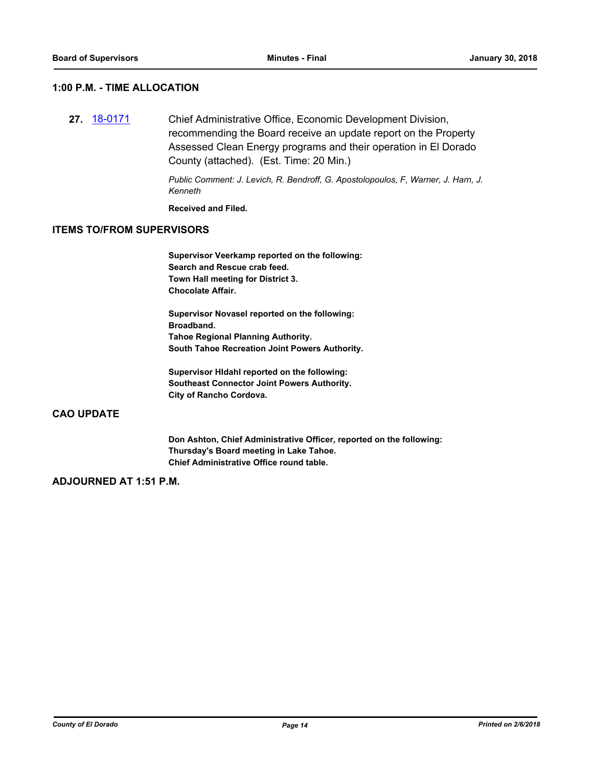# **1:00 P.M. - TIME ALLOCATION**

**27.** [18-0171](http://eldorado.legistar.com/gateway.aspx?m=l&id=/matter.aspx?key=23513) Chief Administrative Office, Economic Development Division, recommending the Board receive an update report on the Property Assessed Clean Energy programs and their operation in El Dorado County (attached). (Est. Time: 20 Min.)

> *Public Comment: J. Levich, R. Bendroff, G. Apostolopoulos, F, Warner, J. Harn, J. Kenneth*

**Received and Filed.**

#### **ITEMS TO/FROM SUPERVISORS**

**Supervisor Veerkamp reported on the following: Search and Rescue crab feed. Town Hall meeting for District 3. Chocolate Affair.**

**Supervisor Novasel reported on the following: Broadband. Tahoe Regional Planning Authority. South Tahoe Recreation Joint Powers Authority.**

**Supervisor HIdahl reported on the following: Southeast Connector Joint Powers Authority. City of Rancho Cordova.**

# **CAO UPDATE**

**Don Ashton, Chief Administrative Officer, reported on the following: Thursday's Board meeting in Lake Tahoe. Chief Administrative Office round table.**

# **ADJOURNED AT 1:51 P.M.**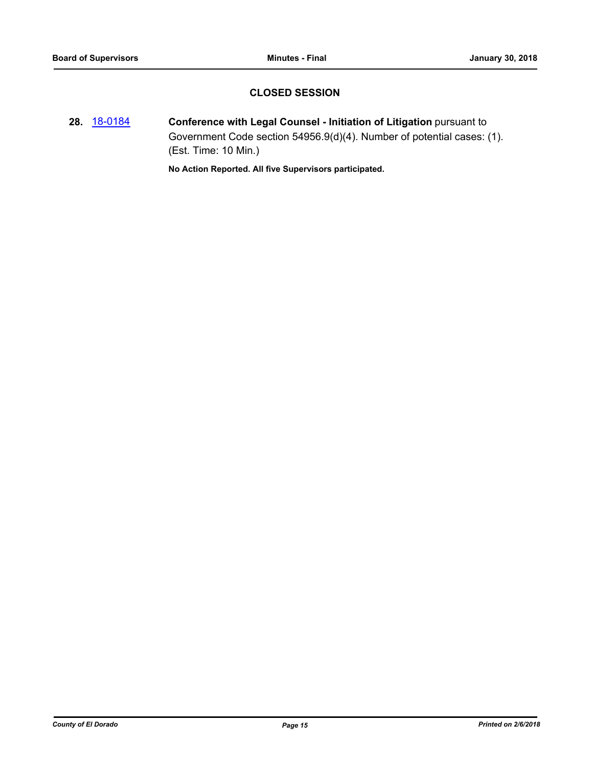# **CLOSED SESSION**

**28.** [18-0184](http://eldorado.legistar.com/gateway.aspx?m=l&id=/matter.aspx?key=23526) **Conference with Legal Counsel - Initiation of Litigation** pursuant to Government Code section 54956.9(d)(4). Number of potential cases: (1). (Est. Time: 10 Min.)

**No Action Reported. All five Supervisors participated.**